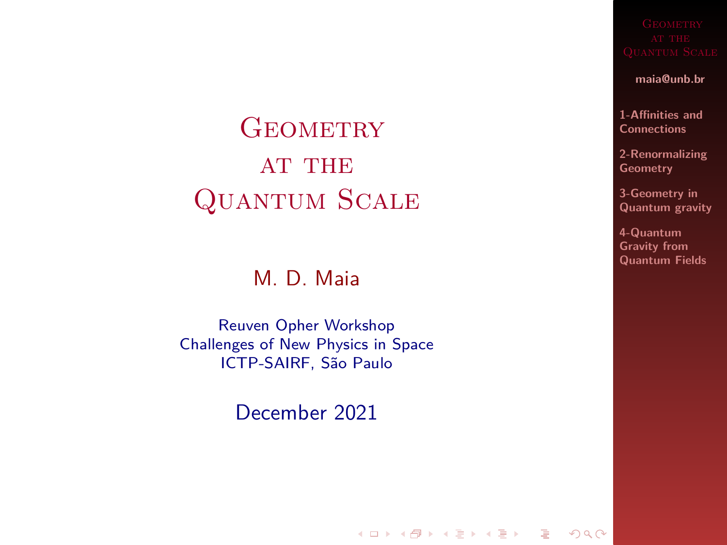# <span id="page-0-0"></span>**GEOMETRY AT THE** Quantum Scale

### M. D. Maia

Reuven Opher Workshop Challenges of New Physics in Space ICTP-SAIRF, São Paulo

December 2021

K ロ ▶ K @ ▶ K 할 ▶ K 할 ▶ | 할 | X 9 Q Q

**maia@unb.br**

**[1-Affinities and](#page-2-0) Connections**

**[2-Renormalizing](#page-4-0) Geometry**

**3-Geometry in [Quantum gravity](#page-5-0)**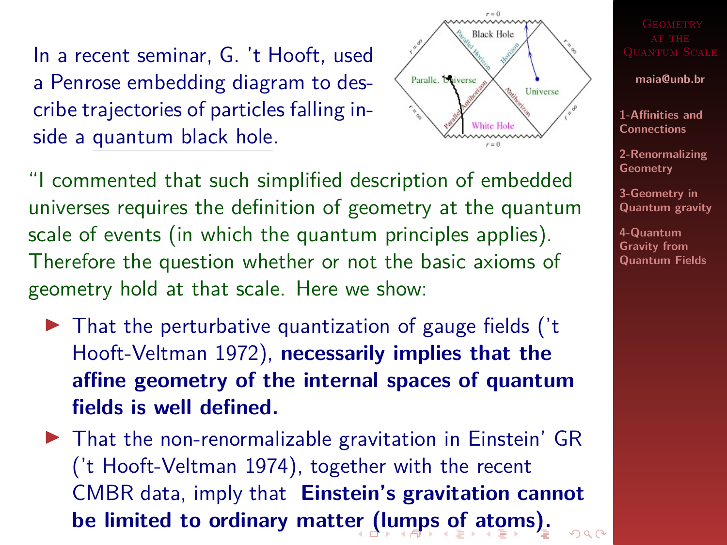<span id="page-1-0"></span>In a recent seminar, G. 't Hooft, used a Penrose embedding diagram to describe trajectories of particles falling inside a quantum black hole.

"I commented that such simplified description of embedded universes requires the definition of geometry at the quantum scale of events (in which the quantum principles applies). Therefore the question whether or not the basic axioms of geometry hold at that scale. Here we show:

 $\triangleright$  That the perturbative quantization of gauge fields ( $'t$ Hooft-Veltman 1972), **necessarily implies that the affine geometry of the internal spaces of quantum fields is well defined.**

 $\triangleright$  That the non-renormalizable gravitation in Einstein' GR ('t Hooft-Veltman 1974), together with the recent CMBR data, imply that **Einstein's gravitation cannot be limited to ordinary matt[er](#page-0-0) [\(lu](#page-2-0)[mp](#page-1-0)[s](#page-2-0) [o](#page-0-0)[f](#page-1-0) [a](#page-2-0)[to](#page-0-0)[m](#page-2-0)[s\)](#page-0-0)[.](#page-9-0)** $000$ 



**maia@unb.br**

**[1-Affinities and](#page-2-0) Connections**

**[2-Renormalizing](#page-4-0) Geometry**

**3-Geometry in [Quantum gravity](#page-5-0)**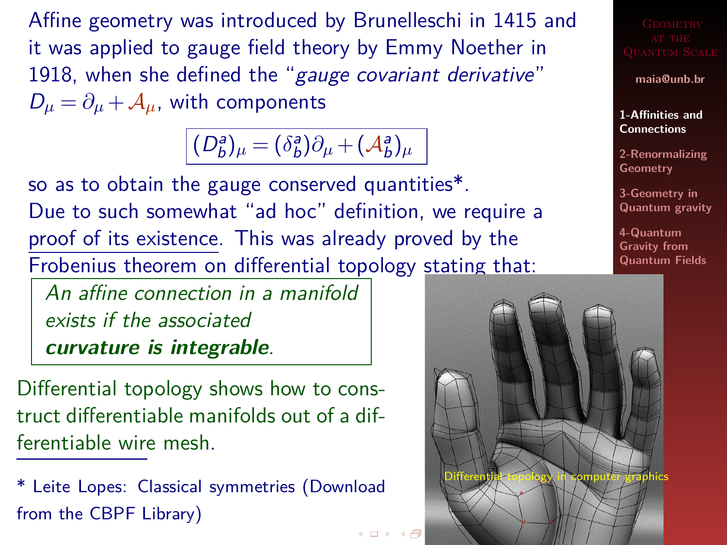<span id="page-2-0"></span>Affine geometry was introduced by Brunelleschi in 1415 and it was applied to gauge field theory by Emmy Noether in 1918, when she defined the "gauge covariant derivative"  $D_{\mu} = \partial_{\mu} + A_{\mu}$ , with components

 $(D_b^a)_\mu = (\delta_b^a)\partial_\mu + (\mathcal{A}_b^a)_\mu$ 

← ロ → → 行

so as to obtain the gauge conserved quantities\*. Due to such somewhat "ad hoc" definition, we require a proof of its existence. This was already proved by the Frobenius theorem on differential topology stating that:

An affine connection in a manifold exists if the associated **curvature is integrable**.

Differential topology shows how to construct differentiable manifolds out of a differentiable wire mesh.

\* Leite Lopes: Classical symmetries (Download from the CBPF Library)

Differential topology in computer graphics

**maia@unb.br [1-Affinities and](#page-2-0) Connections [2-Renormalizing](#page-4-0) Geometry 3-Geometry in [Quantum gravity](#page-5-0) 4-Quantum Gravity from [Quantum Fields](#page-6-0)**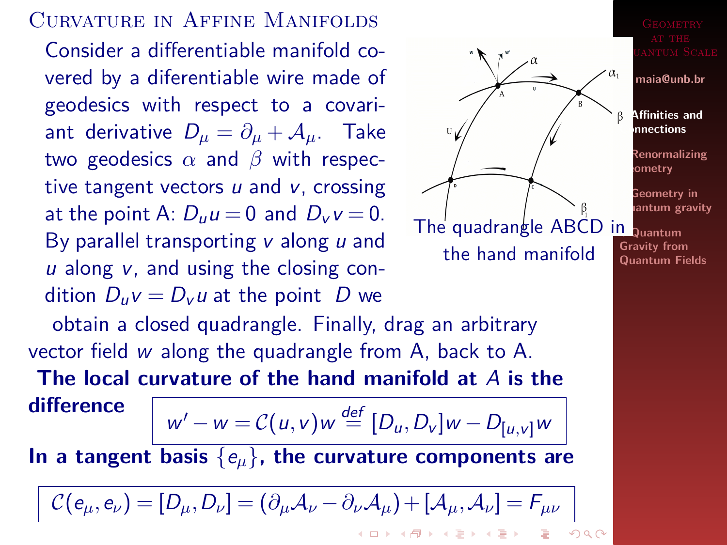### Curvature in Affine Manifolds

Consider a differentiable manifold covered by a diferentiable wire made of geodesics with respect to a covariant derivative  $D_{\mu} = \partial_{\mu} + A_{\mu}$ . Take two geodesics *α* and *β* with respective tangent vectors  $u$  and  $v$ , crossing at the point A:  $D_{\mu}u = 0$  and  $D_{\nu}v = 0$ . By parallel transporting  $v$  along  $u$  and  $u$  along  $v$ , and using the closing condition  $D_{\mu}v = D_{\nu}u$  at the point D we



UANTUM SCALE

**maia@unb.br**

**[1-Affinities and](#page-2-0) Connections**

**[2-Renormalizing](#page-4-0) Geometry**

**3-Geometry in [Quantum gravity](#page-5-0)**

**Gravity from [Quantum Fields](#page-6-0)**

obtain a closed quadrangle. Finally, drag an arbitrary vector field w along the quadrangle from A, back to A.

**The local curvature of the hand manifold at** A **is the**

**difference**

$$
w'-w = \mathcal{C}(u,v)w \stackrel{\text{def}}{=} [D_u, D_v]w - D_{[u,v]}w
$$

**In a tangent basis** {e*µ*}**, the curvature components are**

$$
\mathcal{C}(e_{\mu},e_{\nu})=[D_{\mu},D_{\nu}]=(\partial_{\mu}\mathcal{A}_{\nu}-\partial_{\nu}\mathcal{A}_{\mu})+[ \mathcal{A}_{\mu},\mathcal{A}_{\nu}]=F_{\mu\nu}
$$

**KORKARY KERKER OQO**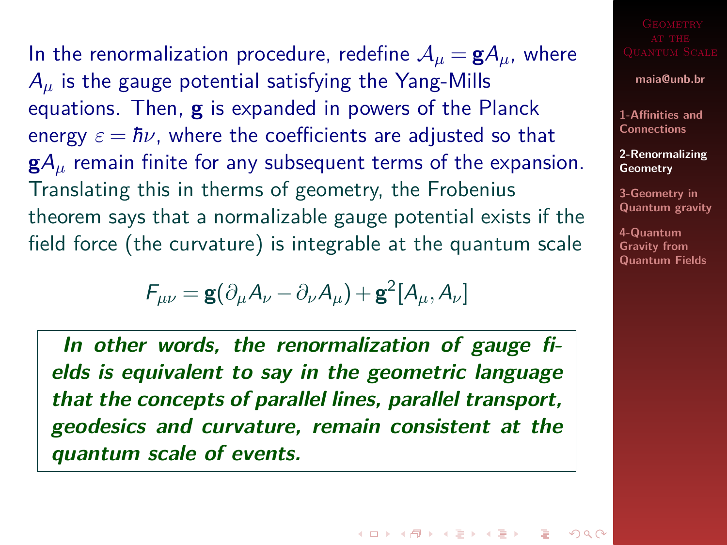<span id="page-4-0"></span>In the renormalization procedure, redefine  $A_{\mu} = gA_{\mu}$ , where A*<sup>µ</sup>* is the gauge potential satisfying the Yang-Mills equations. Then, **g** is expanded in powers of the Planck energy  $\varepsilon = \hbar \nu$ , where the coefficients are adjusted so that **g**A*<sup>µ</sup>* remain finite for any subsequent terms of the expansion. Translating this in therms of geometry, the Frobenius theorem says that a normalizable gauge potential exists if the field force (the curvature) is integrable at the quantum scale

$$
F_{\mu\nu} = \mathbf{g}(\partial_{\mu}A_{\nu} - \partial_{\nu}A_{\mu}) + \mathbf{g}^{2}[A_{\mu}, A_{\nu}]
$$

**In other words, the renormalization of gauge fields is equivalent to say in the geometric language that the concepts of parallel lines, parallel transport, geodesics and curvature, remain consistent at the quantum scale of events.**

**maia@unb.br**

**[1-Affinities and](#page-2-0) Connections**

**[2-Renormalizing](#page-4-0) Geometry**

**3-Geometry in [Quantum gravity](#page-5-0)**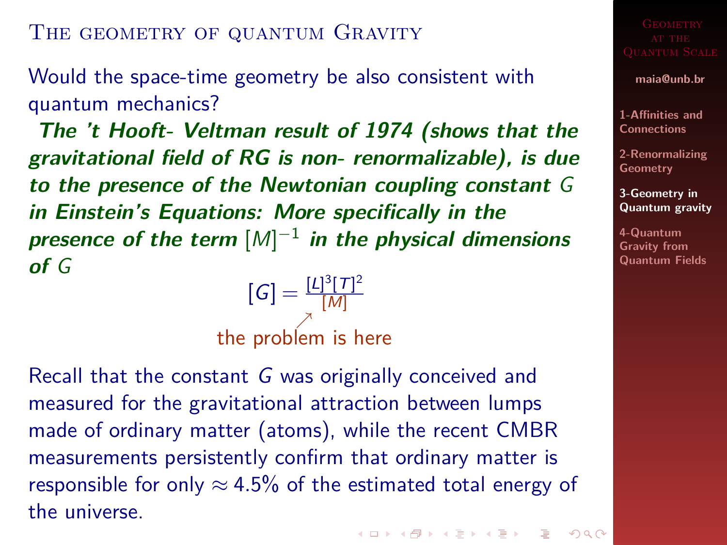## <span id="page-5-0"></span>THE GEOMETRY OF QUANTUM GRAVITY

Would the space-time geometry be also consistent with quantum mechanics?

**The 't Hooft- Veltman result of 1974 (shows that the gravitational field of RG is non- renormalizable), is due to the presence of the Newtonian coupling constant** G **in Einstein's Equations: More specifically in the presence of the term** [M] −1 **in the physical dimensions of** G

 $[G] = \frac{[L]^3 [T]^2}{[M]}$ [M]  $\nearrow$ the problem is here

Recall that the constant G was originally conceived and measured for the gravitational attraction between lumps made of ordinary matter (atoms), while the recent CMBR measurements persistently confirm that ordinary matter is responsible for only  $\approx 4.5\%$  of the estimated total energy of the universe.

**maia@unb.br**

**[1-Affinities and](#page-2-0) Connections**

**[2-Renormalizing](#page-4-0) Geometry**

**3-Geometry in [Quantum gravity](#page-5-0)**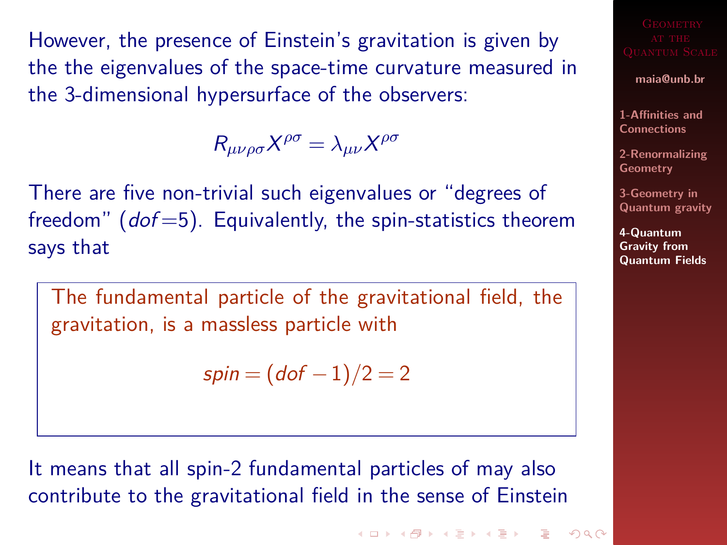<span id="page-6-0"></span>However, the presence of Einstein's gravitation is given by the the eigenvalues of the space-time curvature measured in the 3-dimensional hypersurface of the observers:

 $R_{\mu\nu\rho\sigma}X^{\rho\sigma} = \lambda_{\mu\nu}X^{\rho\sigma}$ 

There are five non-trivial such eigenvalues or "degrees of freedom"  $(dof=5)$ . Equivalently, the spin-statistics theorem says that

The fundamental particle of the gravitational field, the gravitation, is a massless particle with

$$
spin = (dof - 1)/2 = 2
$$

It means that all spin-2 fundamental particles of may also contribute to the gravitational field in the sense of Einstein

**KORKARY KERKER OQO** 

**maia@unb.br**

**[1-Affinities and](#page-2-0) Connections**

**[2-Renormalizing](#page-4-0) Geometry**

**3-Geometry in [Quantum gravity](#page-5-0)**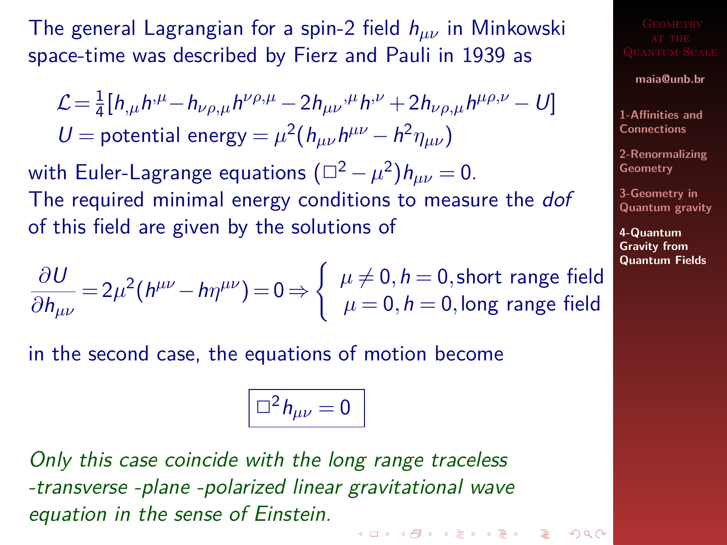The general Lagrangian for a spin-2 field h*µν* in Minkowski space-time was described by Fierz and Pauli in 1939 as

$$
\mathcal{L} = \frac{1}{4} [h_{,\mu} h^{\mu} - h_{\nu\rho,\mu} h^{\nu\rho,\mu} - 2h_{\mu\nu}{}^{\mu} h^{\nu} + 2h_{\nu\rho,\mu} h^{\mu\rho,\nu} - U]
$$
  
U = potential energy =  $\mu^2 (h_{\mu\nu} h^{\mu\nu} - h^2 \eta_{\mu\nu})$ 

with Euler-Lagrange equations  $(\Box^2-\mu^2)h_{\mu\nu}=0.$ The required minimal energy conditions to measure the *dof* of this field are given by the solutions of

$$
\frac{\partial U}{\partial h_{\mu\nu}} = 2\mu^2 (h^{\mu\nu} - h\eta^{\mu\nu}) = 0 \Rightarrow \begin{cases} \mu \neq 0, h = 0, \text{short range field} \\ \mu = 0, h = 0, \text{long range field} \end{cases}
$$

in the second case, the equations of motion become

$$
\Box^2 h_{\mu\nu}=0
$$

Only this case coincide with the long range traceless -transverse -plane -polarized linear gravitational wave equation in the sense of Einstein.**KORKARY KERKER OQO** 

### **maia@unb.br**

**[1-Affinities and](#page-2-0) Connections**

**[2-Renormalizing](#page-4-0) Geometry**

**3-Geometry in [Quantum gravity](#page-5-0)**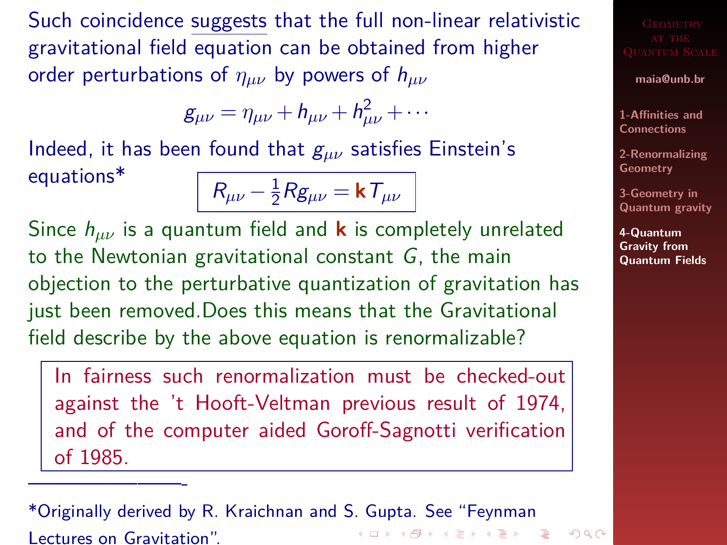<span id="page-8-0"></span>Such coincidence suggests that the full non-linear relativistic gravitational field equation can be obtained from higher order perturbations of *ηµν* by powers of h*µν*

$$
g_{\mu\nu}=\eta_{\mu\nu}+h_{\mu\nu}+h_{\mu\nu}^2+\cdots
$$

Indeed, it has been found that  $g_{\mu\nu}$  satisfies Einstein's equations\* <sup>R</sup>*µν* <sup>−</sup> 1

 $\frac{1}{2}Rg_{\mu\nu} = \mathbf{k}T_{\mu\nu}$ 

Since h*µν* is a quantum field and **k** is completely unrelated to the Newtonian gravitational constant G, the main objection to the perturbative quantization of gravitation has just been removed.Does this means that the Gravitational field describe by the above equation is renormalizable?

In fairness such renormalization must be checked-out against the 't Hooft-Veltman previous result of 1974, and of the computer aided Goroff-Sagnotti verification of 1985.

\*Originally derived by R. Kraichnan and S. Gupta. See "Feynman  $\mathbf{1} \qquad \mathbf{1} \qquad \mathbf{1} \qquad \mathbf{1} \qquad \mathbf{1} \qquad \mathbf{1} \qquad \mathbf{1} \qquad \mathbf{1} \qquad \mathbf{1} \qquad \mathbf{1} \qquad \mathbf{1} \qquad \mathbf{1} \qquad \mathbf{1} \qquad \mathbf{1} \qquad \mathbf{1} \qquad \mathbf{1} \qquad \mathbf{1} \qquad \mathbf{1} \qquad \mathbf{1} \qquad \mathbf{1} \qquad \mathbf{1} \qquad \mathbf{1} \qquad \mathbf{1} \qquad \mathbf{1} \qquad \mathbf{$  $2990$ Lectures on Gravitation".

———————-

**maia@unb.br**

**[1-Affinities and](#page-2-0) Connections**

**[2-Renormalizing](#page-4-0) Geometry**

**3-Geometry in [Quantum gravity](#page-5-0)**